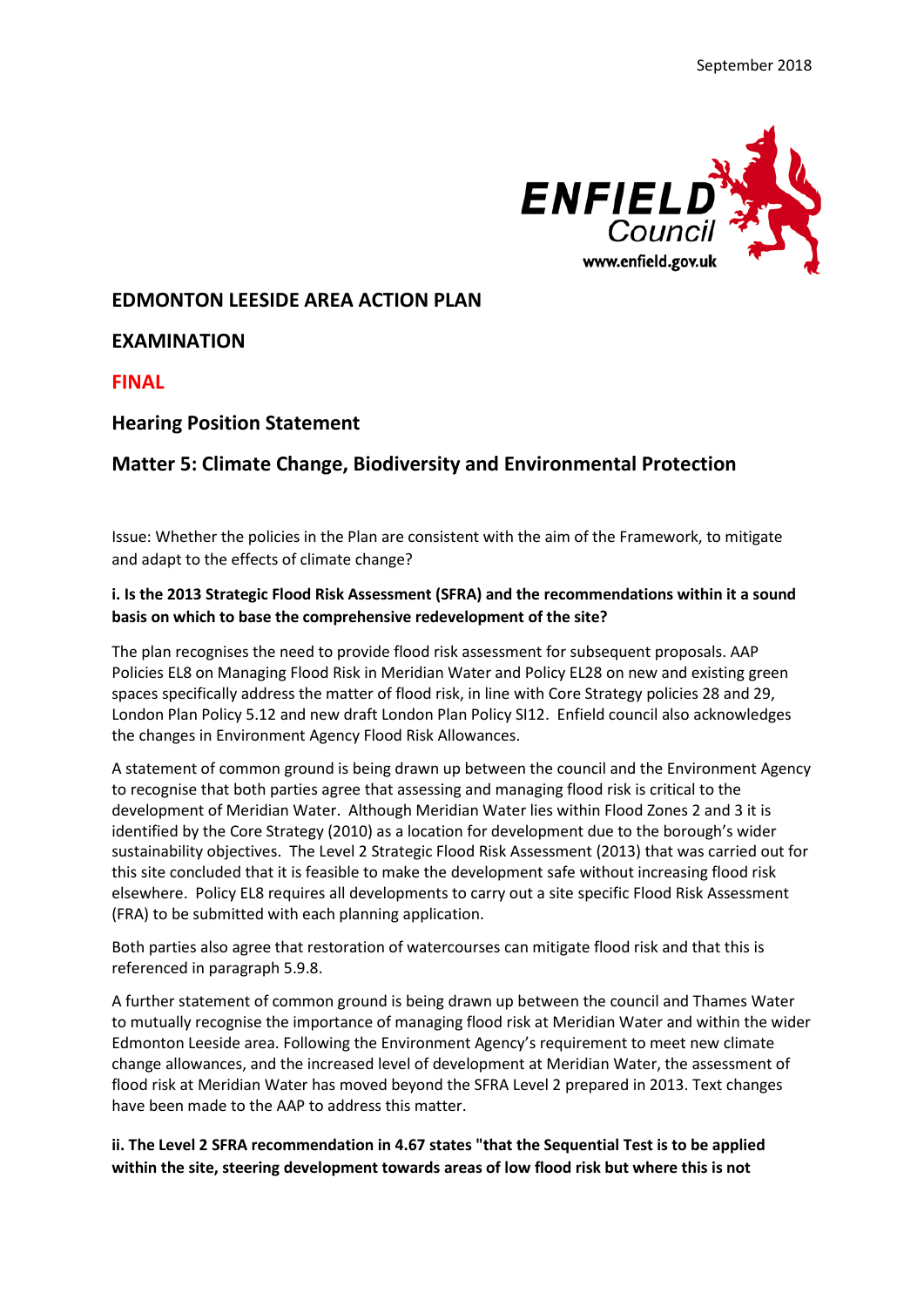

## **EDMONTON LEESIDE AREA ACTION PLAN**

**EXAMINATION**

**FINAL**

## **Hearing Position Statement**

# **Matter 5: Climate Change, Biodiversity and Environmental Protection**

Issue: Whether the policies in the Plan are consistent with the aim of the Framework, to mitigate and adapt to the effects of climate change?

#### **i. Is the 2013 Strategic Flood Risk Assessment (SFRA) and the recommendations within it a sound basis on which to base the comprehensive redevelopment of the site?**

The plan recognises the need to provide flood risk assessment for subsequent proposals. AAP Policies EL8 on Managing Flood Risk in Meridian Water and Policy EL28 on new and existing green spaces specifically address the matter of flood risk, in line with Core Strategy policies 28 and 29, London Plan Policy 5.12 and new draft London Plan Policy SI12. Enfield council also acknowledges the changes in Environment Agency Flood Risk Allowances.

A statement of common ground is being drawn up between the council and the Environment Agency to recognise that both parties agree that assessing and managing flood risk is critical to the development of Meridian Water. Although Meridian Water lies within Flood Zones 2 and 3 it is identified by the Core Strategy (2010) as a location for development due to the borough's wider sustainability objectives. The Level 2 Strategic Flood Risk Assessment (2013) that was carried out for this site concluded that it is feasible to make the development safe without increasing flood risk elsewhere. Policy EL8 requires all developments to carry out a site specific Flood Risk Assessment (FRA) to be submitted with each planning application.

Both parties also agree that restoration of watercourses can mitigate flood risk and that this is referenced in paragraph 5.9.8.

A further statement of common ground is being drawn up between the council and Thames Water to mutually recognise the importance of managing flood risk at Meridian Water and within the wider Edmonton Leeside area. Following the Environment Agency's requirement to meet new climate change allowances, and the increased level of development at Meridian Water, the assessment of flood risk at Meridian Water has moved beyond the SFRA Level 2 prepared in 2013. Text changes have been made to the AAP to address this matter.

**ii. The Level 2 SFRA recommendation in 4.67 states "that the Sequential Test is to be applied within the site, steering development towards areas of low flood risk but where this is not**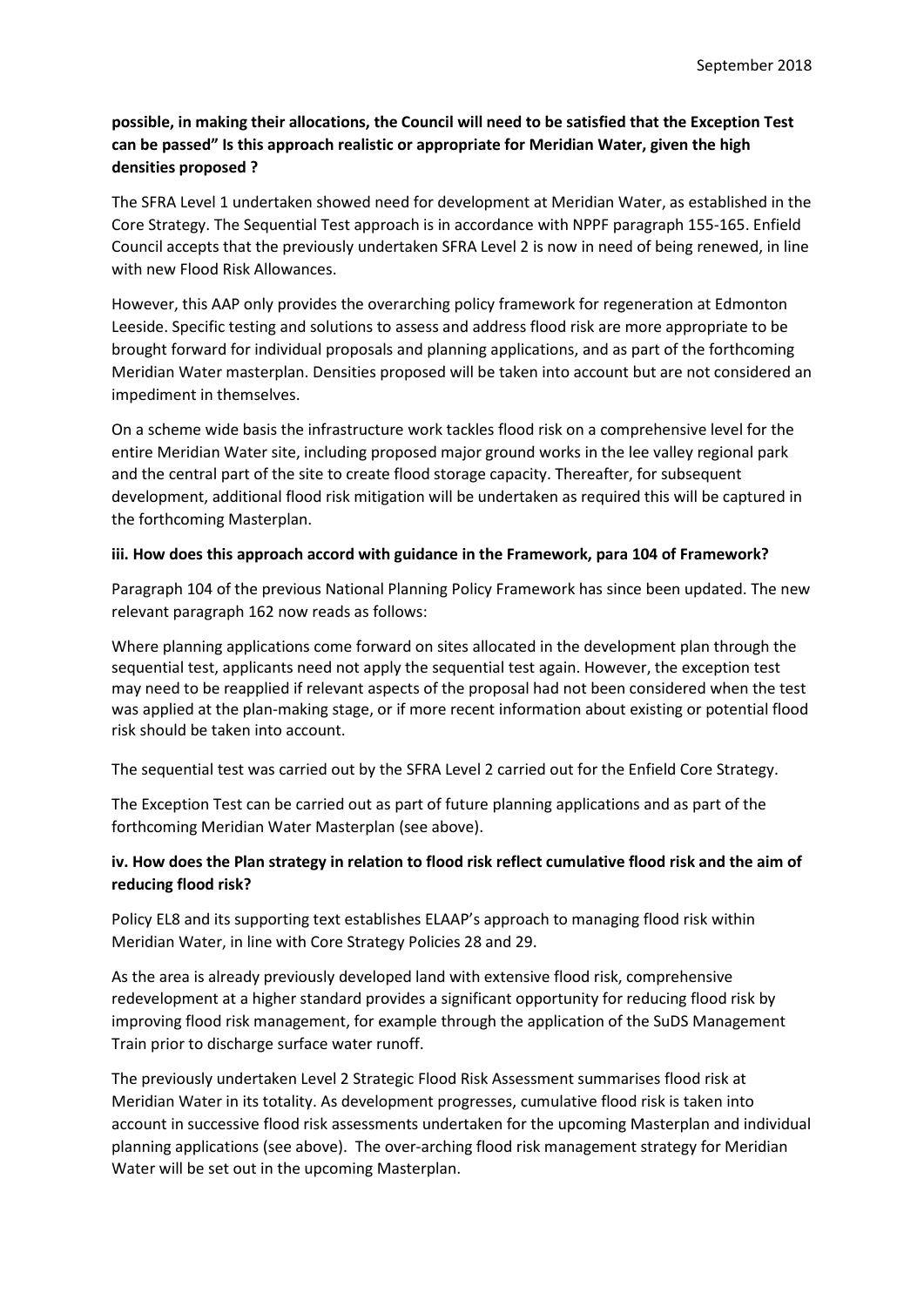# **possible, in making their allocations, the Council will need to be satisfied that the Exception Test can be passed" Is this approach realistic or appropriate for Meridian Water, given the high densities proposed ?**

The SFRA Level 1 undertaken showed need for development at Meridian Water, as established in the Core Strategy. The Sequential Test approach is in accordance with NPPF paragraph 155-165. Enfield Council accepts that the previously undertaken SFRA Level 2 is now in need of being renewed, in line with new Flood Risk Allowances.

However, this AAP only provides the overarching policy framework for regeneration at Edmonton Leeside. Specific testing and solutions to assess and address flood risk are more appropriate to be brought forward for individual proposals and planning applications, and as part of the forthcoming Meridian Water masterplan. Densities proposed will be taken into account but are not considered an impediment in themselves.

On a scheme wide basis the infrastructure work tackles flood risk on a comprehensive level for the entire Meridian Water site, including proposed major ground works in the lee valley regional park and the central part of the site to create flood storage capacity. Thereafter, for subsequent development, additional flood risk mitigation will be undertaken as required this will be captured in the forthcoming Masterplan.

### **iii. How does this approach accord with guidance in the Framework, para 104 of Framework?**

Paragraph 104 of the previous National Planning Policy Framework has since been updated. The new relevant paragraph 162 now reads as follows:

Where planning applications come forward on sites allocated in the development plan through the sequential test, applicants need not apply the sequential test again. However, the exception test may need to be reapplied if relevant aspects of the proposal had not been considered when the test was applied at the plan-making stage, or if more recent information about existing or potential flood risk should be taken into account.

The sequential test was carried out by the SFRA Level 2 carried out for the Enfield Core Strategy.

The Exception Test can be carried out as part of future planning applications and as part of the forthcoming Meridian Water Masterplan (see above).

# **iv. How does the Plan strategy in relation to flood risk reflect cumulative flood risk and the aim of reducing flood risk?**

Policy EL8 and its supporting text establishes ELAAP's approach to managing flood risk within Meridian Water, in line with Core Strategy Policies 28 and 29.

As the area is already previously developed land with extensive flood risk, comprehensive redevelopment at a higher standard provides a significant opportunity for reducing flood risk by improving flood risk management, for example through the application of the SuDS Management Train prior to discharge surface water runoff.

The previously undertaken Level 2 Strategic Flood Risk Assessment summarises flood risk at Meridian Water in its totality. As development progresses, cumulative flood risk is taken into account in successive flood risk assessments undertaken for the upcoming Masterplan and individual planning applications (see above). The over-arching flood risk management strategy for Meridian Water will be set out in the upcoming Masterplan.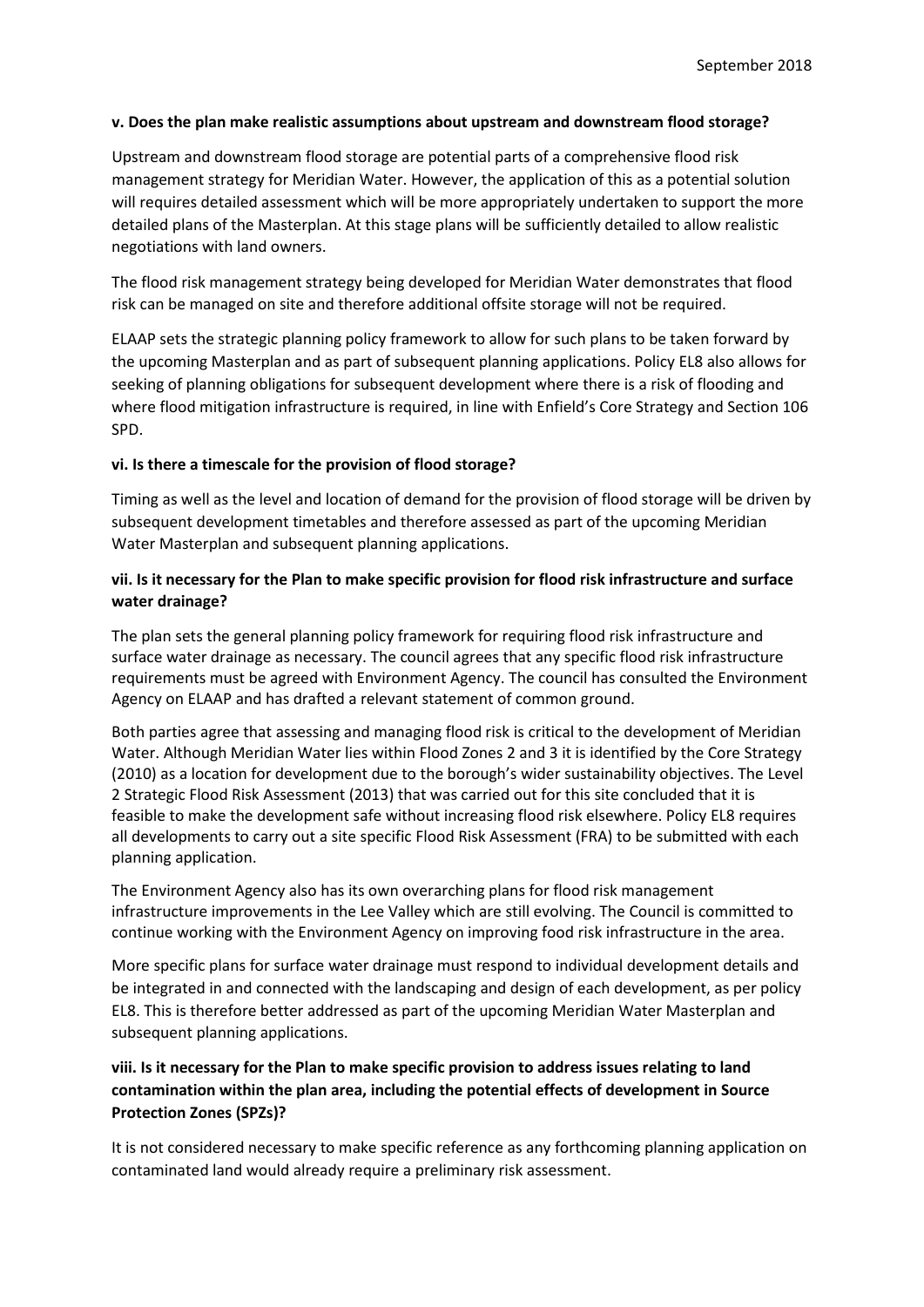#### **v. Does the plan make realistic assumptions about upstream and downstream flood storage?**

Upstream and downstream flood storage are potential parts of a comprehensive flood risk management strategy for Meridian Water. However, the application of this as a potential solution will requires detailed assessment which will be more appropriately undertaken to support the more detailed plans of the Masterplan. At this stage plans will be sufficiently detailed to allow realistic negotiations with land owners.

The flood risk management strategy being developed for Meridian Water demonstrates that flood risk can be managed on site and therefore additional offsite storage will not be required.

ELAAP sets the strategic planning policy framework to allow for such plans to be taken forward by the upcoming Masterplan and as part of subsequent planning applications. Policy EL8 also allows for seeking of planning obligations for subsequent development where there is a risk of flooding and where flood mitigation infrastructure is required, in line with Enfield's Core Strategy and Section 106 SPD.

#### **vi. Is there a timescale for the provision of flood storage?**

Timing as well as the level and location of demand for the provision of flood storage will be driven by subsequent development timetables and therefore assessed as part of the upcoming Meridian Water Masterplan and subsequent planning applications.

### **vii. Is it necessary for the Plan to make specific provision for flood risk infrastructure and surface water drainage?**

The plan sets the general planning policy framework for requiring flood risk infrastructure and surface water drainage as necessary. The council agrees that any specific flood risk infrastructure requirements must be agreed with Environment Agency. The council has consulted the Environment Agency on ELAAP and has drafted a relevant statement of common ground.

Both parties agree that assessing and managing flood risk is critical to the development of Meridian Water. Although Meridian Water lies within Flood Zones 2 and 3 it is identified by the Core Strategy (2010) as a location for development due to the borough's wider sustainability objectives. The Level 2 Strategic Flood Risk Assessment (2013) that was carried out for this site concluded that it is feasible to make the development safe without increasing flood risk elsewhere. Policy EL8 requires all developments to carry out a site specific Flood Risk Assessment (FRA) to be submitted with each planning application.

The Environment Agency also has its own overarching plans for flood risk management infrastructure improvements in the Lee Valley which are still evolving. The Council is committed to continue working with the Environment Agency on improving food risk infrastructure in the area.

More specific plans for surface water drainage must respond to individual development details and be integrated in and connected with the landscaping and design of each development, as per policy EL8. This is therefore better addressed as part of the upcoming Meridian Water Masterplan and subsequent planning applications.

## **viii. Is it necessary for the Plan to make specific provision to address issues relating to land contamination within the plan area, including the potential effects of development in Source Protection Zones (SPZs)?**

It is not considered necessary to make specific reference as any forthcoming planning application on contaminated land would already require a preliminary risk assessment.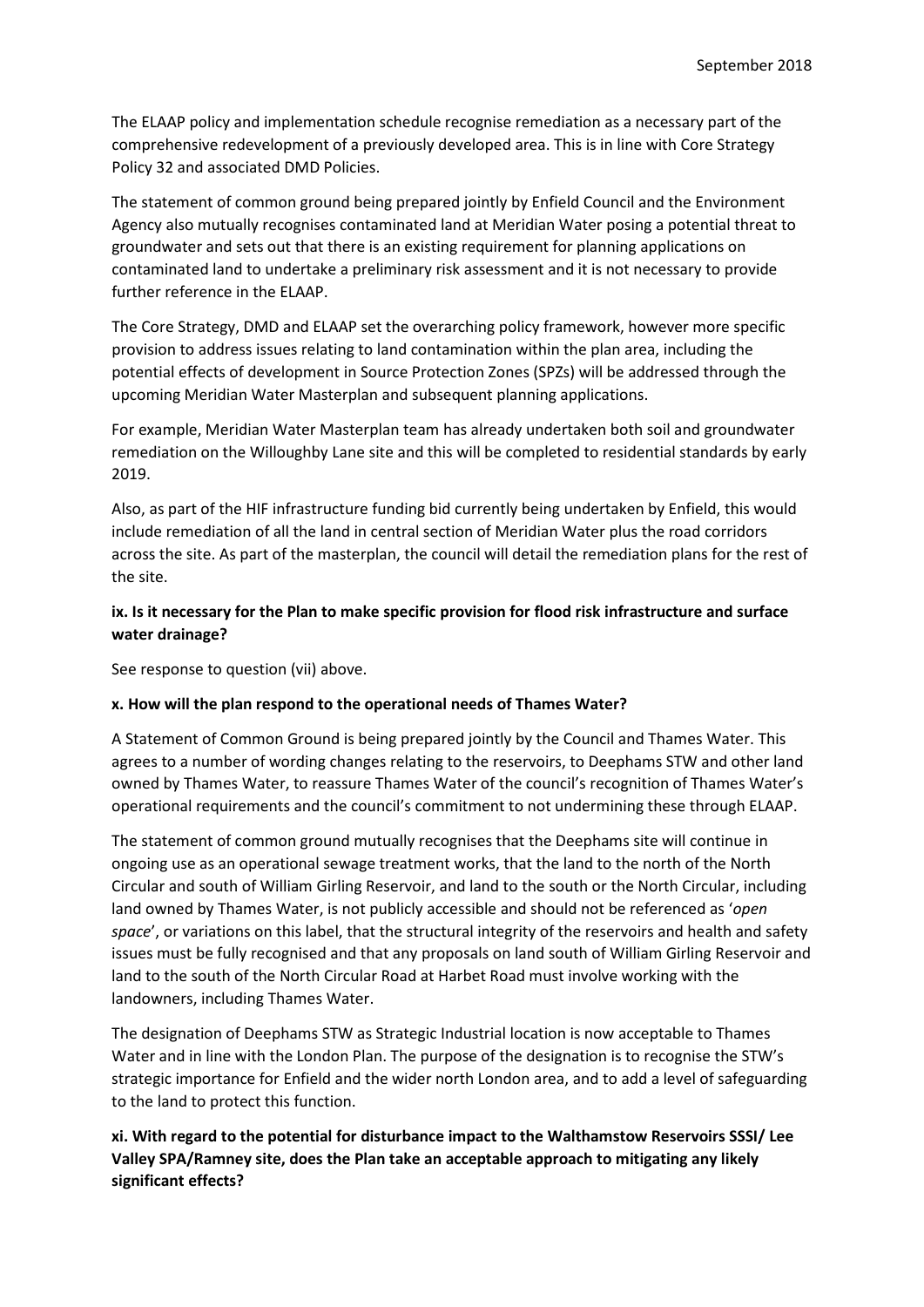The ELAAP policy and implementation schedule recognise remediation as a necessary part of the comprehensive redevelopment of a previously developed area. This is in line with Core Strategy Policy 32 and associated DMD Policies.

The statement of common ground being prepared jointly by Enfield Council and the Environment Agency also mutually recognises contaminated land at Meridian Water posing a potential threat to groundwater and sets out that there is an existing requirement for planning applications on contaminated land to undertake a preliminary risk assessment and it is not necessary to provide further reference in the ELAAP.

The Core Strategy, DMD and ELAAP set the overarching policy framework, however more specific provision to address issues relating to land contamination within the plan area, including the potential effects of development in Source Protection Zones (SPZs) will be addressed through the upcoming Meridian Water Masterplan and subsequent planning applications.

For example, Meridian Water Masterplan team has already undertaken both soil and groundwater remediation on the Willoughby Lane site and this will be completed to residential standards by early 2019.

Also, as part of the HIF infrastructure funding bid currently being undertaken by Enfield, this would include remediation of all the land in central section of Meridian Water plus the road corridors across the site. As part of the masterplan, the council will detail the remediation plans for the rest of the site.

## **ix. Is it necessary for the Plan to make specific provision for flood risk infrastructure and surface water drainage?**

See response to question (vii) above.

#### **x. How will the plan respond to the operational needs of Thames Water?**

A Statement of Common Ground is being prepared jointly by the Council and Thames Water. This agrees to a number of wording changes relating to the reservoirs, to Deephams STW and other land owned by Thames Water, to reassure Thames Water of the council's recognition of Thames Water's operational requirements and the council's commitment to not undermining these through ELAAP.

The statement of common ground mutually recognises that the Deephams site will continue in ongoing use as an operational sewage treatment works, that the land to the north of the North Circular and south of William Girling Reservoir, and land to the south or the North Circular, including land owned by Thames Water, is not publicly accessible and should not be referenced as '*open space*', or variations on this label, that the structural integrity of the reservoirs and health and safety issues must be fully recognised and that any proposals on land south of William Girling Reservoir and land to the south of the North Circular Road at Harbet Road must involve working with the landowners, including Thames Water.

The designation of Deephams STW as Strategic Industrial location is now acceptable to Thames Water and in line with the London Plan. The purpose of the designation is to recognise the STW's strategic importance for Enfield and the wider north London area, and to add a level of safeguarding to the land to protect this function.

**xi. With regard to the potential for disturbance impact to the Walthamstow Reservoirs SSSI/ Lee Valley SPA/Ramney site, does the Plan take an acceptable approach to mitigating any likely significant effects?**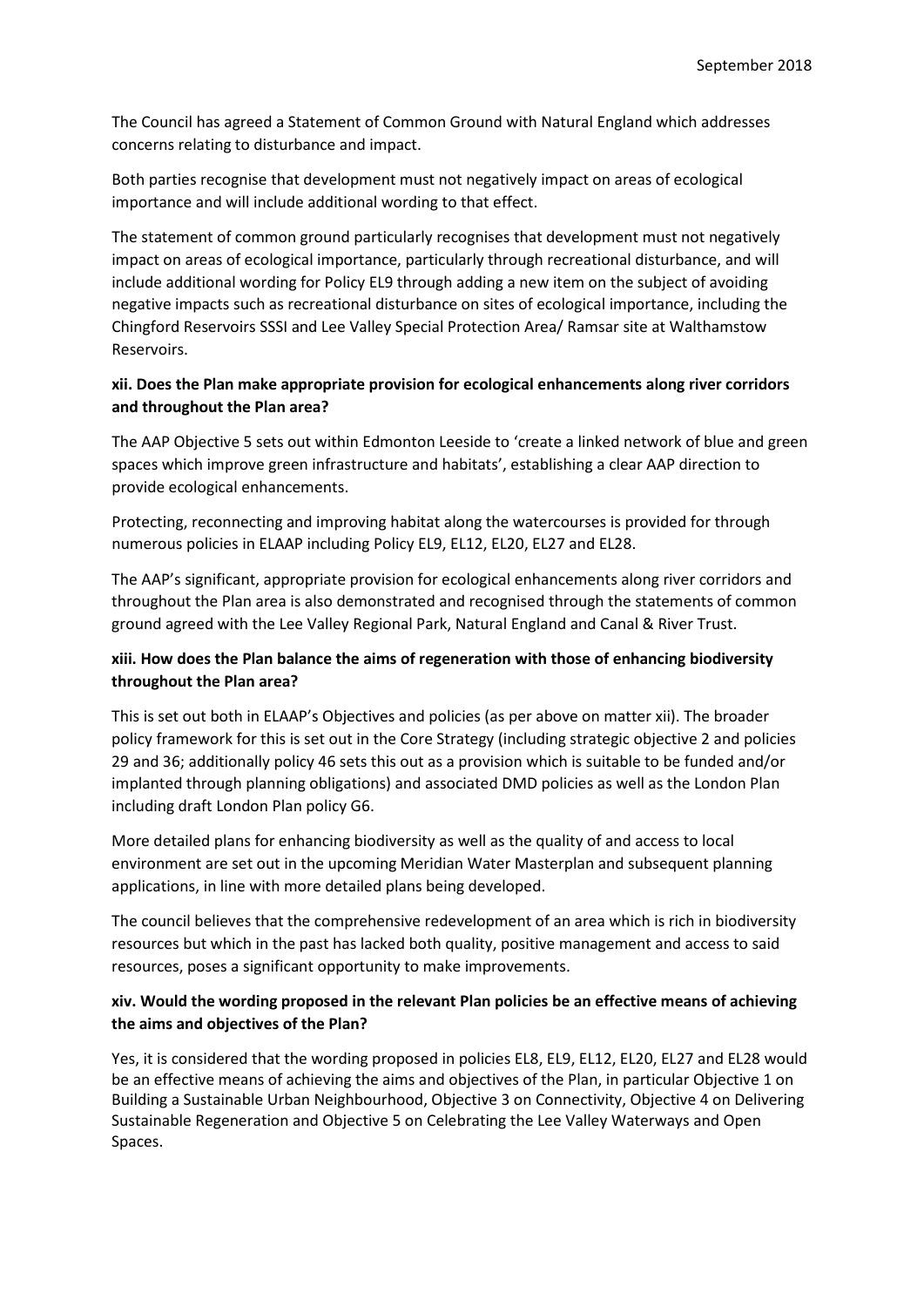The Council has agreed a Statement of Common Ground with Natural England which addresses concerns relating to disturbance and impact.

Both parties recognise that development must not negatively impact on areas of ecological importance and will include additional wording to that effect.

The statement of common ground particularly recognises that development must not negatively impact on areas of ecological importance, particularly through recreational disturbance, and will include additional wording for Policy EL9 through adding a new item on the subject of avoiding negative impacts such as recreational disturbance on sites of ecological importance, including the Chingford Reservoirs SSSI and Lee Valley Special Protection Area/ Ramsar site at Walthamstow Reservoirs.

### **xii. Does the Plan make appropriate provision for ecological enhancements along river corridors and throughout the Plan area?**

The AAP Objective 5 sets out within Edmonton Leeside to 'create a linked network of blue and green spaces which improve green infrastructure and habitats', establishing a clear AAP direction to provide ecological enhancements.

Protecting, reconnecting and improving habitat along the watercourses is provided for through numerous policies in ELAAP including Policy EL9, EL12, EL20, EL27 and EL28.

The AAP's significant, appropriate provision for ecological enhancements along river corridors and throughout the Plan area is also demonstrated and recognised through the statements of common ground agreed with the Lee Valley Regional Park, Natural England and Canal & River Trust.

## **xiii. How does the Plan balance the aims of regeneration with those of enhancing biodiversity throughout the Plan area?**

This is set out both in ELAAP's Objectives and policies (as per above on matter xii). The broader policy framework for this is set out in the Core Strategy (including strategic objective 2 and policies 29 and 36; additionally policy 46 sets this out as a provision which is suitable to be funded and/or implanted through planning obligations) and associated DMD policies as well as the London Plan including draft London Plan policy G6.

More detailed plans for enhancing biodiversity as well as the quality of and access to local environment are set out in the upcoming Meridian Water Masterplan and subsequent planning applications, in line with more detailed plans being developed.

The council believes that the comprehensive redevelopment of an area which is rich in biodiversity resources but which in the past has lacked both quality, positive management and access to said resources, poses a significant opportunity to make improvements.

### **xiv. Would the wording proposed in the relevant Plan policies be an effective means of achieving the aims and objectives of the Plan?**

Yes, it is considered that the wording proposed in policies EL8, EL9, EL12, EL20, EL27 and EL28 would be an effective means of achieving the aims and objectives of the Plan, in particular Objective 1 on Building a Sustainable Urban Neighbourhood, Objective 3 on Connectivity, Objective 4 on Delivering Sustainable Regeneration and Objective 5 on Celebrating the Lee Valley Waterways and Open Spaces.